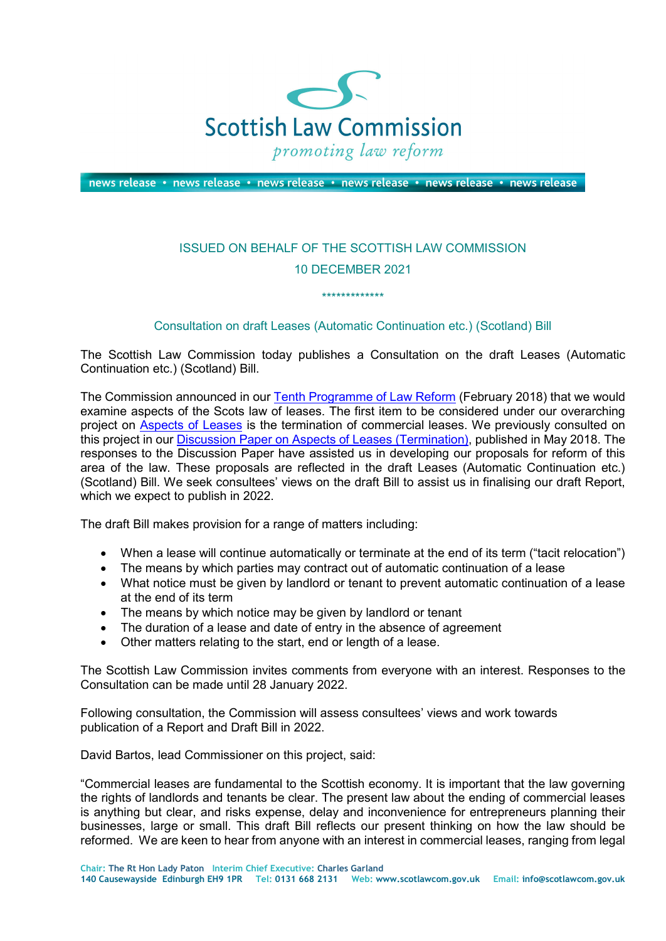

news release • news release • news release • news release • news release • news release

## ISSUED ON BEHALF OF THE SCOTTISH LAW COMMISSION 10 DECEMBER 2021

\*\*\*\*\*\*\*\*\*\*\*\*\*

## Consultation on draft Leases (Automatic Continuation etc.) (Scotland) Bill

The Scottish Law Commission today publishes a Consultation on the draft Leases (Automatic Continuation etc.) (Scotland) Bill.

The Commission announced in our [Tenth Programme of Law Reform](https://www.scotlawcom.gov.uk/law-reform/tenth-programme-of-law-reform-consultation/) (February 2018) that we would examine aspects of the Scots law of leases. The first item to be considered under our overarching project on [Aspects of Leases](https://www.scotlawcom.gov.uk/law-reform/law-reform-projects/proprietary-aspect-of-leases/) is the termination of commercial leases. We previously consulted on this project in our [Discussion Paper on Aspects of Leases \(Termination\),](https://www.scotlawcom.gov.uk/index.php/download_file/2044/870/) published in May 2018. The responses to the Discussion Paper have assisted us in developing our proposals for reform of this area of the law. These proposals are reflected in the draft Leases (Automatic Continuation etc.) (Scotland) Bill. We seek consultees' views on the draft Bill to assist us in finalising our draft Report, which we expect to publish in 2022.

The draft Bill makes provision for a range of matters including:

- When a lease will continue automatically or terminate at the end of its term ("tacit relocation")
- The means by which parties may contract out of automatic continuation of a lease
- What notice must be given by landlord or tenant to prevent automatic continuation of a lease at the end of its term
- The means by which notice may be given by landlord or tenant
- The duration of a lease and date of entry in the absence of agreement
- Other matters relating to the start, end or length of a lease.

The Scottish Law Commission invites comments from everyone with an interest. Responses to the Consultation can be made until 28 January 2022.

Following consultation, the Commission will assess consultees' views and work towards publication of a Report and Draft Bill in 2022.

David Bartos, lead Commissioner on this project, said:

"Commercial leases are fundamental to the Scottish economy. It is important that the law governing the rights of landlords and tenants be clear. The present law about the ending of commercial leases is anything but clear, and risks expense, delay and inconvenience for entrepreneurs planning their businesses, large or small. This draft Bill reflects our present thinking on how the law should be reformed. We are keen to hear from anyone with an interest in commercial leases, ranging from legal